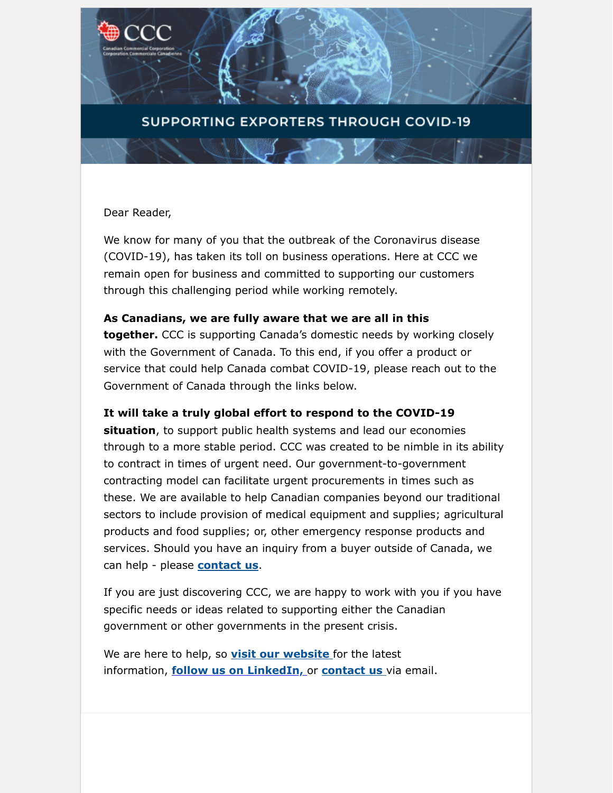### **SUPPORTING EXPORTERS THROUGH COVID-19**

#### Dear Reader,

We know for many of you that the outbreak of the Coronavirus disease (COVID-19), has taken its toll on business operations. Here at CCC we remain open for business and committed to supporting our customers through this challenging period while working remotely.

#### **As Canadians, we are fully aware that we are all in this**

**together.** CCC is supporting Canada's domestic needs by working closely with the Government of Canada. To this end, if you offer a product or service that could help Canada combat COVID-19, please reach out to the Government of Canada through the links below.

#### **It will take a truly global effort to respond to the COVID-19**

**situation**, to support public health systems and lead our economies through to a more stable period. CCC was created to be nimble in its ability to contract in times of urgent need. Our government-to-government contracting model can facilitate urgent procurements in times such as these. We are available to help Canadian companies beyond our traditional sectors to include provision of medical equipment and supplies; agricultural products and food supplies; or, other emergency response products and services. Should you have an inquiry from a buyer outside of Canada, we can help - please **[contact us](mailto:GoCCoordination@CCC.CA)**.

If you are just discovering CCC, we are happy to work with you if you have specific needs or ideas related to supporting either the Canadian government or other governments in the present crisis.

We are here to help, so **[visit our website](https://www.ccc.ca/en/covid-19/?utm_campaign=Quarterly%20Newsletter&utm_source=hs_email&utm_medium=email&_hsenc=p2ANqtz-9MI51ksT33ik9-uvpfwij7XFdNmm9r8Je2b9JFXlDqe3lJKsxGURx0xpWeItsw2hhBzGAs)** for the latest information, **[follow us on LinkedIn,](https://www.linkedin.com/company/canadian-commercial-corporation?utm_campaign=Quarterly%20Newsletter&utm_source=hs_email&utm_medium=email&_hsenc=p2ANqtz-9MI51ksT33ik9-uvpfwij7XFdNmm9r8Je2b9JFXlDqe3lJKsxGURx0xpWeItsw2hhBzGAs)** or **[contact us](mailto:GoCCoordination@CCC.CA)** via email.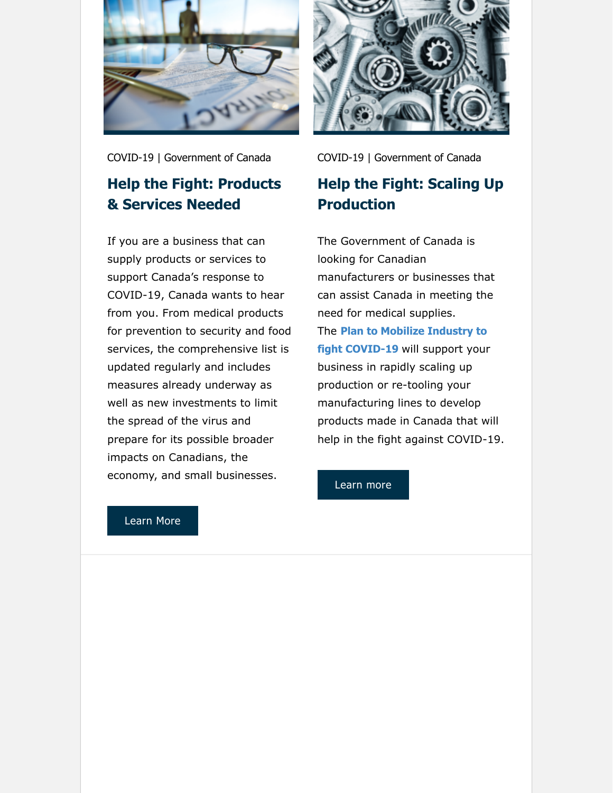

COVID-19 | Government of Canada

### **Help the Fight: Products & Services Needed**

If you are a business that can supply products or services to support Canada's response to COVID-19, Canada wants to hear from you. From medical products for prevention to security and food services, the comprehensive list is updated regularly and includes measures already underway as well as new investments to limit the spread of the virus and prepare for its possible broader impacts on Canadians, the economy, and small businesses.



COVID-19 | Government of Canada

## **Help the Fight: Scaling Up Production**

The Government of Canada is looking for Canadian manufacturers or businesses that can assist Canada in meeting the need for medical supplies. The **[Plan to Mobilize Industry to](https://www.canada.ca/en/services/business/maintaingrowimprovebusiness/manufacturers-needed.html?utm_campaign=Quarterly%20Newsletter&utm_source=hs_email&utm_medium=email&_hsenc=p2ANqtz-9MI51ksT33ik9-uvpfwij7XFdNmm9r8Je2b9JFXlDqe3lJKsxGURx0xpWeItsw2hhBzGAs#_blank) fight COVID-19** will support your business in rapidly scaling up production or re-tooling your manufacturing lines to develop products made in Canada that will help in the fight against COVID-19.

[Learn more](https://www.canada.ca/en/services/business/maintaingrowimprovebusiness/manufacturers-needed.html?utm_campaign=Quarterly%20Newsletter&utm_source=hs_email&utm_medium=email&_hsenc=p2ANqtz-9MI51ksT33ik9-uvpfwij7XFdNmm9r8Je2b9JFXlDqe3lJKsxGURx0xpWeItsw2hhBzGAs#_blank)

#### [Learn More](https://buyandsell.gc.ca/calling-all-suppliers-help-canada-combat-covid-19?utm_campaign=Quarterly%20Newsletter&utm_source=hs_email&utm_medium=email&_hsenc=p2ANqtz-9MI51ksT33ik9-uvpfwij7XFdNmm9r8Je2b9JFXlDqe3lJKsxGURx0xpWeItsw2hhBzGAs#_blank)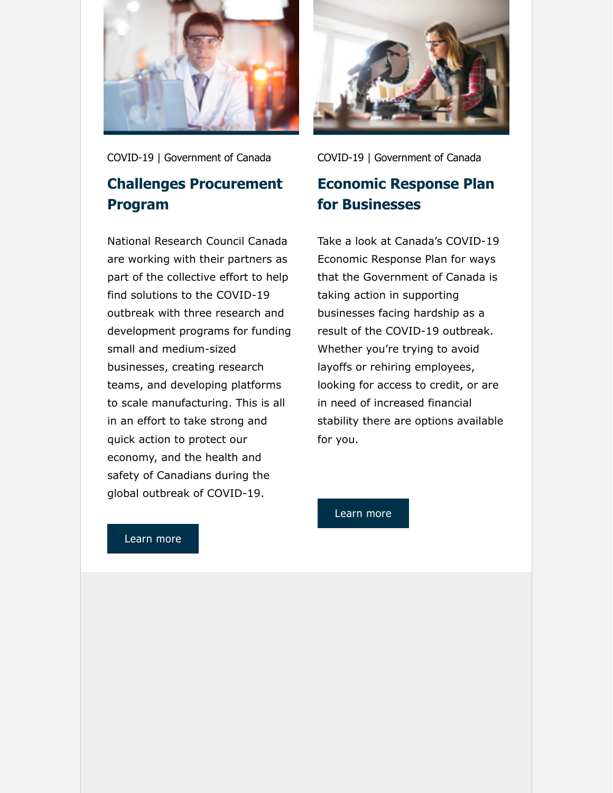

COVID-19 | Government of Canada

### **Challenges Procurement Program**

National Research Council Canada are working with their partners as part of the collective effort to help find solutions to the COVID-19 outbreak with three research and development programs for funding small and medium-sized businesses, creating research teams, and developing platforms to scale manufacturing. This is all in an effort to take strong and quick action to protect our economy, and the health and safety of Canadians during the global outbreak of COVID-19.



COVID-19 | Government of Canada

### **Economic Response Plan for Businesses**

Take a look at Canada's COVID-19 Economic Response Plan for ways that the Government of Canada is taking action in supporting businesses facing hardship as a result of the COVID-19 outbreak. Whether you're trying to avoid layoffs or rehiring employees, looking for access to credit, or are in need of increased financial stability there are options available for you.

#### [Learn more](https://nrc.canada.ca/en/research-development/research-collaboration/nrc-covid-19-programs?utm_campaign=Quarterly%20Newsletter&utm_source=hs_email&utm_medium=email&_hsenc=p2ANqtz-9MI51ksT33ik9-uvpfwij7XFdNmm9r8Je2b9JFXlDqe3lJKsxGURx0xpWeItsw2hhBzGAs#_blank)

[Learn more](https://www.canada.ca/en/department-finance/economic-response-plan.html?utm_campaign=Quarterly%20Newsletter&utm_source=hs_email&utm_medium=email&_hsenc=p2ANqtz-9MI51ksT33ik9-uvpfwij7XFdNmm9r8Je2b9JFXlDqe3lJKsxGURx0xpWeItsw2hhBzGAs#businesses)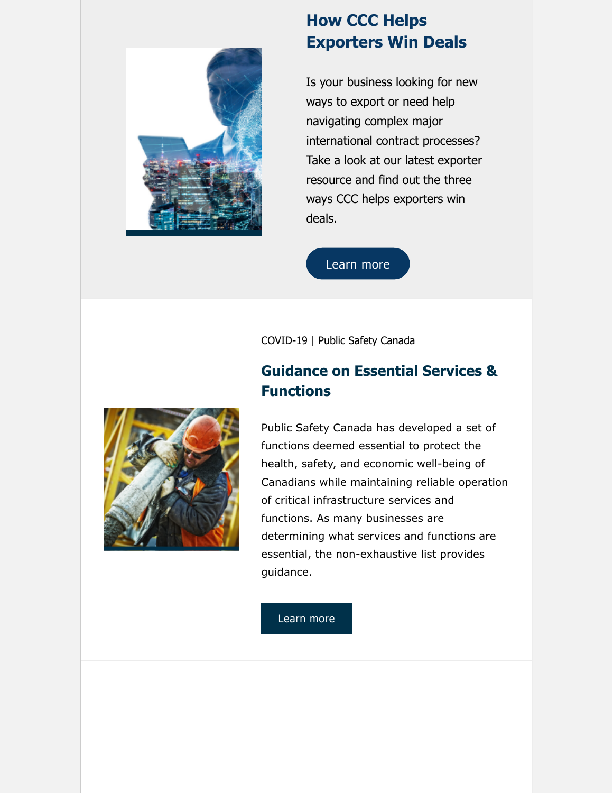

## **How CCC Helps Exporters Win Deals**

Is your business looking for new ways to export or need help navigating complex major international contract processes? Take a look at our latest exporter resource and find out the three ways CCC helps exporters win deals.

[Learn more](https://info.ccc.ca/insights-for-exporters/three-ways-ccc-helps-exporters-win-deals?utm_campaign=Quarterly%20Newsletter&utm_source=hs_email&utm_medium=email&_hsenc=p2ANqtz-9MI51ksT33ik9-uvpfwij7XFdNmm9r8Je2b9JFXlDqe3lJKsxGURx0xpWeItsw2hhBzGAs)

COVID-19 | Public Safety Canada

## **Guidance on Essential Services & Functions**



Public Safety Canada has developed a set of functions deemed essential to protect the health, safety, and economic well-being of Canadians while maintaining reliable operation of critical infrastructure services and functions. As many businesses are determining what services and functions are essential, the non-exhaustive list provides guidance.

[Learn more](https://www.publicsafety.gc.ca/cnt/ntnl-scrt/crtcl-nfrstrctr/esf-sfe-en.aspx?utm_campaign=Quarterly%20Newsletter&utm_source=hs_email&utm_medium=email&_hsenc=p2ANqtz-9MI51ksT33ik9-uvpfwij7XFdNmm9r8Je2b9JFXlDqe3lJKsxGURx0xpWeItsw2hhBzGAs)